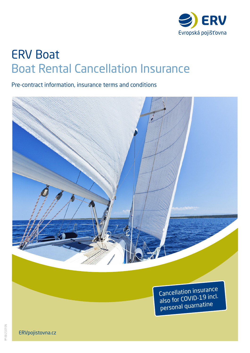

# ERV Boat Boat Rental Cancellation Insurance

Pre-contract information, insurance terms and conditions



Cancellation insurance also for COVID-19 incl. personal quarnatine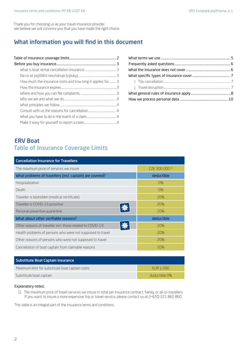Thank you for choosing us as your travel insurance provider. We believe we will convince you that you have made the right choice.

# What information you will find in this document

| How much the insurance costs and how long it applies for 3 |  |
|------------------------------------------------------------|--|
|                                                            |  |
|                                                            |  |
|                                                            |  |
|                                                            |  |
|                                                            |  |
|                                                            |  |
|                                                            |  |
|                                                            |  |

# ERV Boat Table of Insurance Coverage Limits

| <b>Cancellation Insurance for Travellers</b>               |                           |  |
|------------------------------------------------------------|---------------------------|--|
| The maximum price of services we insure                    | CZK 300 000 <sup>1)</sup> |  |
| What problems of travellers (incl. captain) are covered?   | deductible                |  |
| Hospitalization                                            | $O\%$                     |  |
| Death                                                      | $0\%$                     |  |
| Traveller is bedridden (medical certificate)               | 20%                       |  |
| Traveller is COVID-19 possitive                            | 20%                       |  |
| Personal preventive quarantine                             | 20%                       |  |
| What about other verifiable reasons?                       | deductible                |  |
| Other reasons of traveller incl. those related to COVID-19 | 20%                       |  |
| Health problems of persons who were not supposed to travel | 20%                       |  |
| Other reasons of persons who were not supposed to travel   | 20%                       |  |
| Cancellation of boat captain from claimable reasons        | 20%                       |  |

| Substitute Boat Captain Insurance               |               |
|-------------------------------------------------|---------------|
| Maximum limit for substitute boat captain costs | FUR 1 000     |
| Substitute boat captain                         | duductible 0% |

### Explanatory notes:

1) The maximum price of travel services we insure in total per insurance contract, family, or all co-travellers. If you want to insure a more expensive trip or travel service, please contact us at (+420) 221 860 860.

This table is an integral part of the insurance terms and conditions.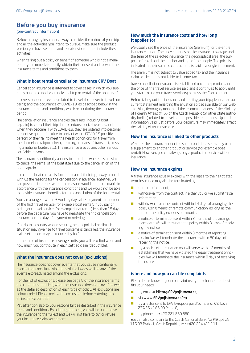# Before you buy insurance

### (pre-contract information)

Before arranging insurance, always consider the nature of your trip and all the activities you intend to pursue. Make sure the product version you have selected and its extension options include these activities.

When taking out a policy on behalf of someone who is not a member of your immediate family, obtain their consent and forward the insurance terms and conditions to them.

### What is boat rental cancellation insurance ERV Boat

Cancellation insurance is intended to cover cases in which you suddenly have to cancel your individual trip or rental of the boat itself.

It covers accidental events related to travel (but never to travel concerns) and the occurrence of COVID-19, as described below in the insurance terms and conditions, which occur during the insurance period.

The cancellation insurance enables travellers (including boat captain) to cancel their trip due to serious medical reasons, incl. when they become ill with COVID-19, they are ordered into personal preventive quarantine (due to contact with a COVID-19 possitive person) or they fail to meet the health conditions for travel from their homeland (airport check, boarding a means of transport, crossing a national border, etc.). The insurance also covers other serious verifiable reasons.

The insurance additionally applies to situations where it is possible to cancel the rental of the boat itself due to the cancellation of the boat captain.

In case the boat captain is forced to cancel their trip, always consult with us the reasons for the cancellation in advance. Together, we can prevent situations where the reasons would not be claimable in accordance with the insurance conditions and we would not be able to provide insurance benefits for the cancellation of the boat rental.

You can arrange it within 3 working days after payment for or order of the first travel service (for example boat rental). If you pay or order your travel service (for example boat rental) less than 15 days before the departure, you have to negotiate the trip cancellation insurance on the day of payment or ordering.

If a trip to a country whose security, health, political or climatic situation may give rise to travel concerns is cancelled, the insurance claim settlement may be reduced by half.

In the table of insurance coverage limits, you will also find when and how much you contribute in each settled claim (deductible).

### What the insurance does not cover (exclusions)

The insurance does not cover events that you cause intentionally, events that constitute violations of the law as well as any of the events expressly listed among the exclusions.

For the list of exclusions, please see page 8 of the insurance terms and conditions, entitled "What the insurance does not cover" as well as the detailed description of each type of policy. All exclusions are colour-coded. Please review the exclusions before entering into an insurance contract.

Pay attention also to your responsibilities described in the insurance terms and conditions. By adhering to them, you will be able to use the insurance to the fullest and we will not have to cut or refuse your insurance claim settlement.

### How much the insurance costs and how long it applies for

We usually set the price of the insurance (premium) for the entire insurance period. The price depends on the insurance coverage and the term of the selected insurance, the geographical area, the purpose of travel and the number and age of the people. The price is indicated in the insurance contract and is paid in a single instalment.

The premium is not subject to value added tax and the insurance claim settlement is not liable to income tax.

Travel cancellation insurance is established once the premium and the price of the travel service are paid and it continues to apply until you start to use your travel service(s) or cross the Czech border.

Before taking out the insurance and starting your trip, please, read our current statement regarding the situation abroad available on our website. Also, thoroughly monitor all the recommendations of the Ministry of Foreign Affairs (MFA) of the Czech Republic (or other state authority bodies) related to travel and its possible restrictions. Up-to-date information valid just before your departure may immediately affect the validity of your insurance.

### How the insurance is linked to other products

We offer the insurance under the same conditions separately or as a supplement to another product or service (for example boat rental). However, you can always buy a product or service without insurance.

### How the insurance expires

A travel insurance usually expires with the lapse to the negotiated term. Insurance may also be terminated by

- our mutual consent,
- $\blacksquare$  withdrawal from the contract, if either you or we submit false information.
- $\blacksquare$  withdrawal from the contract within 14 days of arranging the policy using means of remote communication, as long as the term of the policy exceeds one month.
- a notice of termination sent within 2 months of the arrangement date. We will terminate the policy within 8 days of receiving the notice,
- a notice of termination sent within 3 months of reporting a claim. We will terminate the insurance within 30 days of receiving the notice.
- **by a notice of termination you will serve within 2 months of** establishing that we have violated the equal treatment principles. We will terminate the insurance within 8 days of receiving the notice.

### Where and how you can file complaints

Please let us know of your complaint using the channel that best fits your needs:

- by email at klient@ERVpojistovna.cz,
- via www.ERVpojistovna.cz/en,
- **by a letter sent to ERV Evropská pojišťovna, a. s., Křižíkova** 237/36a, 186 00 Praha 8,
- by phone on +420 221 860 860.

You can also complain to the Czech National Bank, Na Příkopě 28, 115 03 Praha 1, Czech Republic, tel.: +420 224 411 111.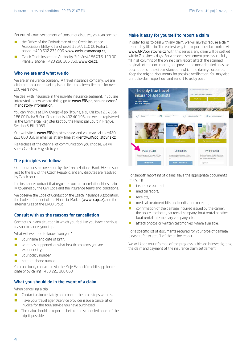For out-of-court settlement of consumer disputes, you can contact

- **the Office of the Ombudsman of the Czech Insurance** Association, Elišky Krásnohorské 135/7, 110 00 Praha 1, phone: +420 602 273 096, www.ombudsmancap.cz,
- Czech Trade Inspection Authority, Štěpánská 567/15, 120 00 Praha 2, phone: +420 296 366 360, www.coi.cz.

### Who we are and what we do

We are an insurance company. A travel insurance company. We are different because travelling is our life. It has been like that for over 100 years now.

We deal with insurance in the non-life insurance segment. If you are interested in how we are doing, go to [www.ERVpojistovna.cz/en/](http://www.ERVpojistovna.cz/en/mandatory-information) mandatory-information.

You can find us at ERV Evropská pojišťovna, a. s., Křižíkova 237/36a, 186 00 Praha 8. Our ID number is 492 40 196 and we are registered in the Commercial Register kept by the Municipal Court in Prague, Section B, File 1969.

Our website is www.ERVpojistovna.cz, and you may call us +420 221 860 860 or email us at any time at klient@ERVpojistovna.cz.

Regardless of the channel of communication you choose, we will speak Czech or English to you.

### The principles we follow

Our operations are overseen by the Czech National Bank. We are subject to the law of the Czech Republic, and any disputes are resolved by Czech courts.

The insurance contract that regulates our mutual relationship is mainly governed by the Civil Code and the insurance terms and conditions.

We observe the Code of Conduct of the Czech Insurance Association, the Code of Conduct of the Financial Market (www. cap.cz), and the internal rules of the ERGO Group.

### Consult with us the reasons for cancellation

Contact us in any situation in which you feel like you have a serious reason to cancel your trip.

What will we need to know from you?

- **v** your name and date of birth,
- what has happened, or what health problems you are experiencing,
- $\blacksquare$  vour policy number,
- contact phone number.

You can simply contact us via the Moje Evropská mobile app homepage or by calling +420 221 860 860.

### What you should do in the event of a claim

When cancelling a trip:

- $\Box$  Contact us immediately and consult the next steps with us.
- Have your travel agent/service provider issue a cancellation invoice for the tour/service you have purchased.
- The claim should be reported before the scheduled onset of the trip, if possible.

### Make it easy for yourself to report a claim

In order for us to deal with any claim, we will always require a claim report duly filled in. The easiest way is to report the claim online via www.ERVpojistovna.cz. With this service, any claim will be settled within 7 business days. For a smooth settlement process, carfully fill in all columns of the online claim report, attach the scanned originals of the documents, and provide the most detailed possible description of the circumstances in which the damage occurred. Keep the original documents for possible verification. You may also print the claim report out and send it to us by post.



For smooth reporting of claims, have the appropriate documents ready, e.g.:

- **insurance contract,**
- medical report,
- $\blacksquare$  receipts,
- medical treatment bills and medication receipts,
- confirmation of the damage incurred issued by the carrier, the police, the hotel, car rental company, boat rental or other boat rental intermediary company, etc.
- attach photos or written testimonies, where available.

For a specific list of documents required for your type of damage, please refer to step 1 of the online report.

We will keep you informed of the progress achieved in investigating the claim and payment of the insurance claim settlement.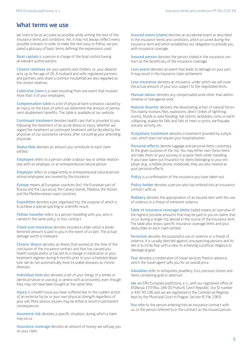## What terms we use

We tried to be as accurate as possible while writing the text of the insurance terms and conditions. Yet, it may not always reflect every possible scenario. In order to make the text easy to follow, we prepared a glossary of basic terms defining the expressions used.

**Boat captain** is a person in charge of the boat control having all relevant authorizations.

Closest relatives are your parents and children, i.e. your dependants up to the age of 26. A husband and wife, registered partners and partners who share a common household are also regarded as the closest relatives.

Collective claim is a claim resulting from one event that involves more than 3 of your employees.

**Compensation table** is a list of physical harm scenarios caused by an injury, on the basis of which we determine the amount of permanent disablement benefits. The table is available at our website.

Continued treatment denotes health care that is provided to you following the treatment of an acute illness or injury. Whether we regard the treatment as continued treatment will be decided by the physician of our assistance services after consulting your attending physician.

Deductible denotes an amount you contribute to each claim settled.

Employee refers to a person under a labour-law or similar relationship with an employer, or an entrepreneurial natural person.

Employer refers to a legal entity or entrepreneurial natural person whose employees are covered by the insurance.

Europe means all European countries (incl. the European part of Russia and the Caucasus), the Canary Islands, Madeira, the Azores and the Mediterranean coast countries.

**Expedition** denotes a pre-organised trip, the purpose of which is to achieve a special sporting or scientific result.

Fellow traveller refers to a person travelling with you, who is named in the same policy, or tour contract.

Fixed-sum insurance denotes insurance under which a predetermined amount is paid to you in the event of a claim. The actual damage worth is irrelevant.

Chronic illness denotes an illness that existed at the time of the conclusion of the insurance contract and that has caused you health complications or has led to a change in medication or your treatment regimen during 6 months prior to your scheduled departure. We do not automatically treat incurable diseases as chronic illnesses.

Individual item also denotes a set of your things of a similar or identical nature or use (e.g. a camera with accessories), even though they may not have been bought at the same time.

**Injury** is a health issue you have suffered due to the sudden action of an external factor or your own physical strength regardless of your will. More serious injuries may be lethal or result in permanent consequences.

**Insurance risk** denotes a specific situation, during which a claim may occur.

Insurance coverage denotes an amount of money we will pay you on your claim.

Insured event (claim) denotes an accidental event as described in the insurance terms and conditions, which occurred during the insurance term and which establishes our obligation to provide you with insurance coverage.

Insured person denotes the person stated in the insurance contract as the beneficiary of the insurance coverage.

Loss event denotes an event that leads to damage on your part. It may result in the insurance claim settlement.

Loss insurance denotes an insurance, under which we will cover the actual amount of your loss subject to the negotiated limits.

Manual labour denotes any compensated work other than administrative or managerial work.

Natural disaster denotes the devastating action of natural forces. This mainly involves fires, explosions, direct strikes of lightning, storms, floods or area flooding, hail storms, landslides, rocks or earth collapsing, avalanche falls and falls of trees or posts, earthquake, volcanic activity, etc.

**Outpatient treatment** denotes a treatment provided by a physician, which does not require your hospitalisation.

Personal effects denote luggage and personal items customary to the given purpose of the trip. You may either own these items and take them on your journey or acquire them while travelling. If you have taken out insurance for items belonging to your employer (e.g., a mobile phone, notebook), they are also treated as your personal effects.

Policy is a confirmation of the insurance you have taken out.

Policy holder denotes a person who has entered into an insurance contract with us.

Robbery denotes the appropriation of an insured item with the use of violence or a threat of imminent violence.

Table of insurance coverage limits (table) means an overview of the highest possible amounts that may be paid to you on claims that occur during a single trip abroad in the course of the insurance term. The table also shows specific insurance coverage limits and your deductible on each claim settled.

Terrorism denotes the purposeful use of violence or a threat of violence. It is usually directed against unsuspecting persons and its aim is to incite fear with a view to achieving a political, religious or ideological goal.

**Tour** denotes a combination of travel services fixed in advance, which the travel agent sells you for an overall price.

Valuables refer to antiquities, jewellery, furs, precious stones and items containing gold or platinum.

We are ERV Evropská pojišťovna, a. s., with our registered office at Křižíkova 237/36a, 186 00 Praha 8, Czech Republic. Our ID number is 492 40 196 and we are registered in the Commercial Register kept by the Municipal Court in Prague, Section B, File 1969.

You refer to the person entering into an insurance contract with us, or the person referred to in the contract as the insured person.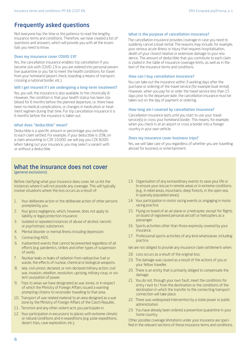# Frequently asked questions

Not everyone has the time or the patience to read the lengthy insurance terms and conditions. Therefore, we have created a list of questions and answers, which will provide you with all the essentials you need to know.

#### Does my insurance cover COVID-19?

Yes, the cancellation insurance enables trip cancellation if you become sick with COVID-19 or you are ordered into personal preventive quarantine or you fail to meet the health conditions for travel from your homeland (airport check, boarding a means of transport, crossing a national border, etc.).

#### Will I get insured if I am undergoing a long-term treatment?

Yes, you will, the insurance is also available to the chronically ill. However, the condition is that your health status has been stabilised for 6 months before the planned departure, i.e. there have been no medical complications, or changes in medication or treatment regimen during that time. For trip cancellation insurance it is 6 months before the insurance is taken out.

### What does "deductible" mean?

Deductible is a specific amount or percentage you contribute to each claim settled. For example, if your deductible is 20%, on a claim amounting to CZK 10,000, we will pay you CZK 8,000. When taking out your insurance, you may select a variant with or without a deductible.

### What is the purpose of cancellation insurance?

The cancellation insurance provides coverage in case you need to suddenly cancel a boat rental. The reasons may include, for example, your serious acute illness or injury that requires hospitalisation, death of your closest relative or extensive damage to your residence. The amount of deductible that you contribute to each claim is stated in the table of insurance coverage limits, as well as in the text of the insurance terms and conditions.

#### How can I buy cancellation insurance?

You can take out the insurance within 3 working days after the purchase or ordering of the travel service (for example boat rental). However, when you pay for or order the travel service less than 15 days prior to the departure date, the cancellation insurance must be taken out on the day of payment or ordering.

#### How long am I covered by cancellation insurance?

Cancellation insurance lasts until you start to use your travel service(s) or cross your homeland border. This means, for example, when you check in at an airport or cross a border into a foreign country in your own vehicle.

#### Does my insurance cover business trips?

Yes, we will take care of you regardless of whether you are travelling abroad for business or entertainment.

# What the insurance does not cover

(general exclusions)

Before clarifying what your insurance does cover, let us list the instances where it will not provide any coverage. This will typically involve situations where the loss occurs as a result of:

- 1. Your deliberate action or the deliberate action of other persons prompted by you.
- 2. Your gross negligence, which, however, does not apply to liability or legal protection insurance.
- 3. Isolated or repeated instances of abuse of alcohol, narcotic or psychotropic substances.
- 4. Mental disorder or mental illness including depression.
- 5. Contracting AIDS.
- 6. Inadvertent events that cannot be prevented regardless of all efforts (e.g. pandemics, strikes and other types of suspension of work).
- 7. Nuclear leaks or leaks of radiation from radioactive fuel or waste, the effects of nuclear, chemical or biological weapons.
- 8. War, civil unrest, declared, or non-declared military action, civil war, invasion, rebellion, revolution, uprising, military coup, or violent usurpation of power.
- 9. Trips to areas we have designated as war zones, or in respect of which the Ministry of Foreign Affairs issued a warning prompting citizens to reconsider travelling to that area.
- 10. Transport of war related material to an area designed as a war zone by the Ministry of Foreign Affairs of the Czech Republic.
- 11. Terrorism and any other violent acts you participate in.
- 12. Your participation in excursions to places with extreme climatic or natural conditions and in expeditions (e.g. polar expeditions, desert trips, cave exploration, etc.).
- 13. Organisation of any extraordinary events to save your life or to ensure your rescue in remote areas or in extreme conditions (e.g., in rebel areas, mountains, deep forests, in the open sea, in sparsely populated areas).
- 14. Your participation in motor racing events or, engaging in motor racing practice.
- 15. Flying on board of an air plane or a helicopter, except for flights on board of registered personal aircraft or helicopters as a passenger.
- 16. Sports activities other than those expressly covered by your insurance.
- 17. Professional sports activities of any kind whatsoever, including practice.
- We are not obliged to provide any insurance claim settlement when:
- 18. Loss occurs as a result of the original loss.
- 19. The damage was caused as a result of the actions of you or your fellow traveller.
- 20. There is an entity that is primarily obliged to compensate the damage.
- 21. You do not, through your own fault, meet the conditions for entry / exit to / from the destination or the conditions of the destination in which the transfer to the connecting transport connection will take place.
- 22. There was widespread intervention by a state power or public administration.
- 23. You have already been ordered a preventive quarantine in your home country.

Other possible coverage limitations under your insurance are specified in the relevant sections of these insurance terms and conditions.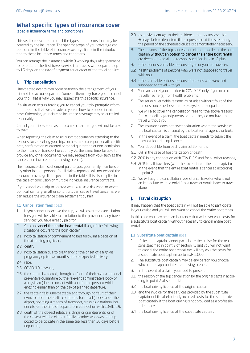# What specific types of insurance cover

### (special insurance terms and conditions)

This section describes in detail the types of problems that may be covered by the insurance. The specific scope of your coverage can be found in the table of insurance coverage limits in the introduction to these insurance terms and conditions.

You can arrange the insurance within 3 working days after payment for or order of the first travel service (for travels with departure up to 15 days, on the day of payment for or order of the travel service.

### I. Trip cancellation

Unexpected events may occur between the arrangement of your trip and the actual departure. Some of them may force you to cancel your trip. That is why you may appreciate this specific insurance.

If a situation occurs forcing you to cancel your trip, promptly inform us thereof so that we can advise you on how to proceed in this case. Otherwise, your claim to insurance coverage may be curtailed reasonably.

Cancel your trip as soon as it becomes clear that you will not be able to travel.

When reporting the claim to us, submit documents attesting to the reasons for cancelling your trip, such as medical report, death certificate, confirmation of ordered personal quarantine or non-admission to the means of transport or country. At the same time, be able to provide any other documents we may request from you (such as the cancellation invoice or boat driving licence).

The insurance claim settlement paid to you, your family members or any other insured persons for all claims reported will not exceed the insurance coverage limit specified in the table. This also applies in the case of conclusion of multiple individual insurance contracts.

If you cancel your trip to an area we regard as a risk zone, or where political, sanitary, or other conditions can cause travel concerns, we can reduce the insurance claim settlement by half.

### **I.1 Cancellation fees (loss)**

- 1. If you cannot undertake the trip, we will cover the cancellation fees you will be liable to in relation to the provider of any travel services you have already paid for.
- 2. You can **cancel the entire boat rental** if any of the following situations occurs to the boat captain
- 2.1 hospitalisation or confinement to bed following a decision of the attending physician,
- 2.2 death,
- 2.3 hospitalisation due to pregnancy or the onset of a high-risk pregnancy up to two months before expected delivery,
- 2.4 rape,
- 2.5 COVID-19 desease,
- 2.6 the captain is ordered, through no fault of their own, a personal preventive quarantine by the relevant administrative body or a physician (due to contact with an infected person), which ends no earlier than on the day of planned departure,
- 2.7 the captain fails, unexpectedly and through no fault of their own, to meet the health conditions for travel (check-up at the airport, boarding a means of transport, crossing a national border etc.) at the time of departure in connection with COVID-19,
- 2.8 death of the closest relative, siblings or grandparents, or of the closest relative of their family member who was not supposed to participate in the same trip, less than 30 days before departure,
- 2.9 extensive damage to their residence that occurs less than 30 days before departure if their presence at the site during the period of the scheduled cruise is demonstrably necessary.
- 3. The reasons of the trip cancellation of the traveller or the boat captain without an option to cancel the entire boat rental are deemed to be all the reasons specified in point 2 plus:
- 3.1 other serious verifiable reasons of you or your co-traveller,
- 3.2 health problems of persons who were not supposed to travel with you,
- 3.3 other verifiable serious reasons of persons who were not supposed to travel with you.
- 4. You can cancel your trip due to COVID-19 only if you or a cotraveller suffer(s) from health problems.
- The serious verifiable reasons must arise without fault of the persons concerned less than 30 days before departure.
- 6. We will also cover the cancellation fees for the above reasons for co-travelling grandparents so that they do not have to travel without you.
- 7. The insurance does not cover a situation where the service of the boat captain is ensured by the boat rental agency or broker.
- 8. In the event of a claim, the boat captain needs to submit the relevant boat driving licence.
- 9. Your deductible from each claim settlement is
- 9.1 0% in the case of hospitalization or death,
- 9.2 20% in any connection with COVID-19 and for all other reasons,
- 9.3 20% for all travellers (with the exception of the boat captain) in the event that the entire boat rental is cancelled according to point 2.
- 10. We will pay the cancellation fees of a co-traveller who is not an immediate relative only if that traveller would have to travel alone.

### J. Travel disruption

It may happen that the boat captain will not be able to participate in your cruise and you will not want to cancel the entire boat rental.

In this case you may need an insurance that will cover your costs for a substitute boat captain without necessity to cancel entire boat rental.

### **J.1 Substitute boat captain (loss)**

- 1. If the boat captain cannot participate the cruise for the reasons specified in point 2 of section I.1 and you will not want to cancel the entire boat rental, we will pay you the costs for a substitute boat captain up to EUR 1,000.
- 2. The substitute boat captain may be any person you choose who has the appropriate boat driving licence.
- 3. In the event of a claim, you need to present
- 3.1 the reason of the trip cancellation by the original captain according to point 2 of section I.1,
- 3.2 the boat driving licence of the original captain,
- 3.3 and the invoice for the services provided by the substitute captain, or bills of efficiently incurred costs for the substitute boat captain, if the boat driving is not provided as a professional service,
- 3.4 the boat driving licence of the substitute captain.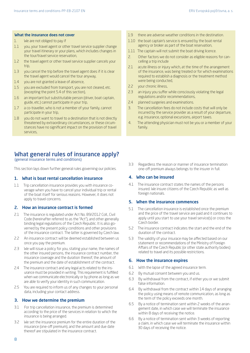#### What the insurance does not cover

- 1. We are not obliged to pay if
- 1.1 you, your travel agent or other travel service supplier change your travel itinerary or your plans, which includes changes in the tour/travel service reservation,
- 1.2 the travel agent or other travel service supplier cancels your trip,
- 1.3 you cancel the trip before the travel agent does if it is clear the travel agent would cancel the tour anyway,
- 1.4 you are not granted a leave of absence,
- 1.5 you are excluded from transport, you are not cleared, etc. (excepting the point 5.4 of this section),
- 1.6 an important but substitutable person (driver, boat captain, guide, etc.) cannot participate in your trip,
- 1.7 a co-traveller, who is not a member of your family, cannot participate in your trip,
- 1.8 you do not want to travel to a destination that is not directly threatened by extraordinary circumstances, or these circumstances have no significant impact on the provision of travel services,

# What general rules of insurance apply?

(general insurance terms and conditions)

This section lays down further general rules governing our policies.

### 1. What is boat rental cancellation insurance

1.1 Trip cancellation insurance provides you with insurance coverage when you have to cancel your individual trip or rental of the boat itself for serious reasons. However, it does not apply to travel concerns.

### 2. How an insurance contract is formed

- 2.1 The insurance is regulated under Act No. 89/2012 Coll., Civil Code (hereinafter referred to as the "Act"), and other generally binding legal regulations of the Czech Republic. It is also governed by the present policy conditions and other provisions of the insurance contract. The latter is governed by Czech law.
- 2.2 An insurance contract will be deemed established between us once you pay the premium.
- 2.3 We will issue a policy for you, stating your name, the names of the other insured persons, the insurance contract number, the insurance coverage and the duration thereof, the amount of the premium and the date of establishment of the contract.
- 2.4 The insurance contract and any legal acts related to the insurance must be provided in writing. This requirement is fulfilled when we communicate electronically or by phone as long as we are able to verify your identity in such communication.
- 2.5 You are required to inform us of any changes to your personal data, including your contact address.

### 3. How we determine the premium

- 3.1 For trip cancellation insurance, the premium is determined according to the price of the services in relation to which the insurance is being arranged.
- 3.2 We set the insurance premium for the entire duration of the insurance (one-off premium), and the amount and due date thereof are stipulated in the insurance contract.
- 1.9 there are adverse weather conditions in the destination.
- 1.10 the boat captain's service is ensured by the boat rental agency or broker as part of the boat reservation,
- 1.11 The captain will not submit the boat driving licence.
- 2. Other factors we do not consider as eligible reasons for cancelling a trip include
- 2.1 acute illness or injury which, at the time of the arrangement of the insurance, was being treated or for which examinations required to establish a diagnosis or the treatment method were being conducted,
- 2.2 your chronic illness,
- 2.3 an injury you suffer while consciously violating the legal regulations and/or recommendations,
- 2.4 planned surgeries and examinations.
- 3. The cancellation fees do not include costs that will only be incurred by the service provider as a result of your departure, e.g. insurance, optional excursions, airport taxes.
- 4. The attending physician must not be you or a member of your family.
- 3.3 Regardless the reason or manner of insurance termination one-off premium always belongs to the insurer in full.

### 4. Who can be insured

4.1 The insurance contract states the names of the persons insured. We insure citizens of the Czech Republic as well as foreign nationals.

### 5. When the insurance commences

- 5.1 The cancellation insurance is established once the premium and the price of the travel service are paid and it continues to apply until you start to use your travel service(s) or cross the Czech border.
- 5.2 The insurance contract indicates the start and the end of the duration of the contract.
- 5.3 The validity of your insurace may be affected based on our statement or recommendations of the Ministry of Foreign Affairs of the Czech Republic (or other state authority bodies) related to travel and its possible restrictions.

### 6. How the insurance expires

- 6.1 With the lapse of the agreed insurance term.
- 6.2 By mutual consent between you and us.
- 6.3 By withdrawal from the contract, if either you or we submit false information.
- 6.4 By withdrawal from the contract within 14 days of arranging the policy using means of remote communication, as long as the term of the policy exceeds one month.
- 6.5 By a notice of termination sent within 2 weeks of the arrangement date, in which case we will terminate the insurance within 8 days of receiving the notice.
- 6.6 By a notice of termination sent within 3 weeks of reporting a claim, in which case we will terminate the insurance within 30 days of receiving the notice.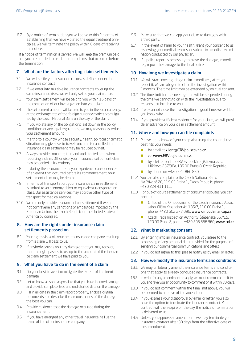6.7 By a notice of termination you will serve within 2 months of establishing that we have violated the equal treatment principles. We will terminate the policy within 8 days of receiving the notice.

If a notice of termination is served, we will keep the premium paid and you are entitled to settlement on claims that occurred before the termination.

### 7. What are the factors affecting claim settlements

- 7.1 We will settle your insurance claims as defined under the insurance contract.
- 7.2 If we enter into multiple insurance contracts covering the same insurance risks, we will only settle your claim once.
- 7.3 Your claim settlement will be paid to you within 15 days of the completion of our investigation into your claim.
- 7.4 The settlement amount will be paid to you in the local currency, at the exchange rate of the foreign currency market promulgated by the Czech National Bank on the day of the claim.
- 7.5 If you violate any of the obligations laid down in the policy conditions or any legal regulations, we may reasonably reduce your settlement amount.
- 7.6 If a trip to a country whose security, health, political or climatic situation may give rise to travel concerns is cancelled, the insurance claim settlement may be reduced by half.
- 7.7 Always provide complete, true and undistorted data when reporting a claim. Otherwise, your insurance settlement claim may be denied in its entirety.
- 7.8 If, during the insurance term, you experience consequences of an event that occurred before its commencement, your settlement claim may be denied.
- 7.9 In terms of transportation, your insurance claim settlement is limited to an economy ticket or equivalent transportation class. Our assistance services may approve other type of transport for medical reasons.
- 7.10 We can only provide insurance claim settlement if we do not contravene any sanctions or embargoes imposed by the European Union, the Czech Republic or the United States of America by doing so.

### 8. How are the rights under insurance claim settlements passed on

- 8.1 Your rights vis-a-vis your health insurance company resulting from a claim will pass to us.
- 8.2 If anybody causes you any damage that you may recover, then the right passes to us, up to the amount of the insurance claim settlement we have paid to you.

### 9. What you have to do in the event of a claim

- 9.1 Do your best to avert or mitigate the extent of imminent damage.
- 9.2 Let us know as soon as possible that you have incurred damage and provide complete, true and undistorted data on the damage.
- 9.3 Fill in all data in the claim report properly, enclose original documents and describe the circumstances of the damage the best you can.
- 9.4 Provide evidence that the damage occurred during the insurance term.
- 9.5 If you have arranged any other travel insurance, tell us the name of the other insurance company.
- 9.6 Make sure that we can apply our claim to damages with a third party.
- 9.7 In the event of harm to your health, grant your consent to us reviewing your medical records, or submit to a medical examination conducted by our physician.
- 9.8 If a police report is necessary to prove the damage, immediately report the damage to the local police.

### 10. How long we investigate a claim

- 10.1 We will start investigating a claim immediately after you report it. We are obliged to close the investigation within 3 months. The time limit may be extended by mutual consent.
- 10.2 The time limit for the investigation will be suspended during the time we cannot go on with the investigation due to reasons attributable to you.
- 10.3 If we cannot close the investigation in good time, we will let you know why.
- 10.4 If you provide sufficient evidence for your claim, we will provide an advance on your claim settlement amount.

### 11. Where and how you can file complaints

- 11.1 Please let us know of your complaint using the channel that best fits your needs:
	- **by email at klient@ERVpojistovna.cz**,
	- via www.ERVpojistovna.cz,
	- by a letter sent to ERV Evropská pojišťovna, a. s., Křižíkova 237/36a, 186 00 Praha 8, Czech Republic.
	- by phone on +420 221 860 860.
- 11.2 You can also complain to the Czech National Bank, Na Příkopě 28, 115 03 Praha 1, Czech Republic, phone: +420 224 411 111.
- 11.3 For out-of-court settlements of consumer disputes you can contact:
	- Office of the Ombudsman of the Czech Insurance Association, Elišky Krásnohorské 135/7, 110 00 Praha 1, phone: +420 602 273 096, www.ombudsmancap.cz,
	- Czech Trade Inspection Authority, Štěpánská 567/15, 120 00 Praha 2, phone: +420 296 366 360, www.coi.cz

### 12. What is marketing consent

- 12.1 By entering into an insurance contract, you agree to the processing of any personal data provided for the purpose of sending our commercial communications and offers.
- 12.2 If you do not agree to this, please notify us by email or letter.

### 13. How we modify the insurance terms and conditions

- 13.1 We may unilaterally amend the insurance terms and conditions that apply to already concluded insurance contracts.
- 13.2 In order for any amendment to apply, we must communicate it to you and give you an opportunity to comment on it within 30 days.
- 13.3 If you do not comment within the time limit above, you will be deemed to approve of the amendment.
- 13.4 If you express your disapproval by email or letter, you also have the option to terminate the insurance contract. Your contract will then expire on the day the notice of termination is delivered to us.
- 13.5 Unless you approve an amendment, we may terminate your insurance contract after 30 days from the effective date of the amendment.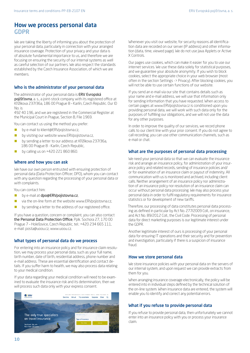## How we process personal data GDPR

We are taking the liberty of informing you about the protection of your personal data, particularly in connection with your arranged insurance coverage. Protection of your privacy and your data is of absolute fundamental importance to us, and therefore we are focusing on ensuring the security of our internal systems as well as careful selection of our partners. We also respect the standards established by the Czech Insurance Association, of which we are members.

### Who is the administrator of your personal data

The administrator of your personal data is ERV Evropská pojišťovna, a. s., a joint-stock company with its registered office at Křižíkova 237/36a, 186 00 Prague 8 – Karlín, Czech Republic. Our ID No. is

492 40 196, and we are registered in the Commercial Register at the Municipal Court in Prague, Section B, File 1969.

You can contact us using the method you prefer:

- **by e-mail to klient@ERVpojistovna.cz,**
- by visiting our website www.ERVpojistovna.cz,
- by sending a letter to our address at Křižíkova 237/36a, 186 00 Prague 8 - Karlín, Czech Republic,
- by calling us on +420 221 860 860.

### Where and how you can ask

We have our own person entrusted with ensuring protection of personal data (Data Protection Officer; DPO), whom you can contact with any question regarding the processing of your personal data or with complaints.

You can contact him:

- by e-mail at dpo@ERVpoiistovna.cz,
- via the on-line form at the website www.ERVpojistovna.cz,
- by sending a letter to the address of our registered office.

If you have a question, concern or complaint, you can also contact the Personal Data Protection Office, Pplk. Sochora 27, 170 00 Prague 7 – Holešovice, Czech Republic, tel.: +420 234 665 111, e-mail: posta@uoou.cz, www.uoou.cz.

### What types of personal data do we process

For entering into an insurance policy and for insurance claim resolution, we may process your personal data, such as your full name, birth number, date of birth, residential address, phone number and e-mail address. These are essential identification and contact details. If you suffer harm to health, we may also process data relating to your medical condition.

If your data regarding your medical condition will need to be examined to evaluate the insurance risk and its determination, then we will process such data only with your express consent.



Whenever you visit our website, for security reasons all identification data are recorded on our server (IP address) and other information (data, time, viewed page). We do not use Java Applets or Active X Controls.

Our pages use cookies, which can make it easier for you to use our internet services. We use these data solely for statistical purposes, and we guarantee your absolute anonymity. If you wish to block cookies, select the appropriate choice in your web browser (most often in the section Settings -> Privacy). After blocking cookies, you will not be able to use certain functions of our website.

If you send an e-mail via our site that contains details such as your name and e-mail address, we will use that information only for sending information that you have requested. When access to certain pages at www.ERVpojistovna.cz is conditioned upon you providing personal data, we will work with such data only for the purposes of fulfilling our obligations, and we will not use the data for any other purposes.

In order to improve the quality of our services, we record phone calls to our client line with your prior consent. If you do not agree to call recording, you can use other communication channels, such as e-mail or chat.

### What are the purposes of personal data processing

We need your personal data so that we can evaluate the insurance risk and arrange an insurance policy, for administration of your insurance policy and related records, sending of insurance policies and/ or for examination of an insurance claim or payout of indemnity. All communication with us is monitored and archived, including client calls. Neither arrangement of an insurance policy nor administration of an insurance policy nor resolution of an insurance claim can occur without personal data processing. We may also process your personal data in order to fulfil regulatory requirements for insurance statistics or for development of new tariffs.

Therefore, our processing of data constitutes personal data processing as defined in particular by Act No. 277/2009 Coll., on insurance, and Act No. 89/2012 Coll., the Civil Code. Processing of personal data for direct marketing purposes is our legitimate interest under the GDPR.

Another legitimate interest of ours is processing of your personal data for ensuring IT operations and their security and for prevention and investigation, particularly if there is a suspicion of insurance fraud.

### How we store personal data

We store insurance policies with your personal data on the servers of our internal system, and upon request we can provide extracts from them for you.

When arranging insurance coverage electronically, the policy will be entered into in individual steps defined by the technical solution of the on-line system. When insurance data are entered, the system will enable you to identify and correct any potential errors.

### What if you refuse to provide personal data

If you refuse to provide personal data, then unfortunately we cannot enter into an insurance policy with you or process your insurance claim.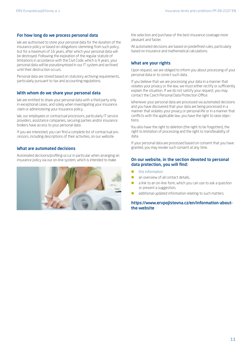### For how long do we process personal data

We are authorised to store your personal data for the duration of the insurance policy or based on obligations stemming from such policy, but for a maximum of 16 years, after which your personal data will be destroyed. Following the expiration of the regular statute of limitations in accordance with the Civil Code, which is 4 years, your personal data will be pseudonymised in our IT system and archived until their destruction occurs.

Personal data are stored based on statutory archiving requirements, particularly pursuant to tax and accounting regulations.

### With whom do we share your personal data

We are entitled to share your personal data with a third party only in exceptional cases, and solely when investigating your insurance claim or administering your insurance policy.

We, our employees or contractual processors, particularly IT service providers, assistance companies, securing parties and/or insurance brokers have access to your personal data.

If you are interested, you can find a complete list of contractual processors, including descriptions of their activities, on our website.

### What are automated decisions

Automated decisions/profiling occur in particular when arranging an insurance policy via our on-line system, which is intended to make



the selection and purchase of the best insurance coverage more pleasant and faster.

All automated decisions are based on predefined rules, particularly based on insurance and mathematical calculations.

### What are your rights

Upon request, we are obliged to inform you about processing of your personal data or to correct such data.

If you believe that we are processing your data in a manner that violates your privacy or the law, we must either rectify or sufficiently explain the situation. If we do not satisfy your request, you may contact the Czech Personal Data Protection Office.

Whenever your personal data are processed via automated decisions and you have discovered that your data are being processed in a manner that violates your privacy or personal life or in a manner that conflicts with the applicable law, you have the right to raise objections.

You also have the right to deletion (the right to be forgotten), the right to limitation of processing and the right to transferability of data.

If your personal data are processed based on consent that you have granted, you may revoke such consent at any time.

### On our website, in the section devoted to personal data protection, you will find:

- $\blacksquare$  this information
- an overview of all contact details,
- a link to an on-line form, which you can use to ask a question or present a suggestion,
- additional updated information relating to such matters.

### https://www.ervpojistovna.cz/en/information-aboutthe-website